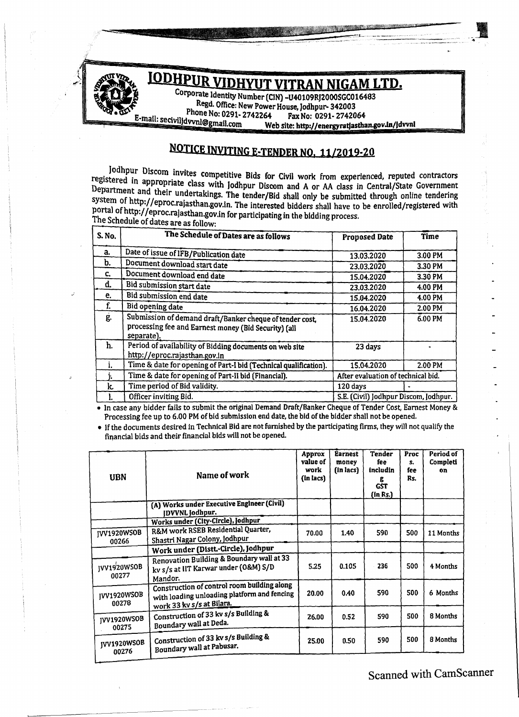

NOTICE INVITING E-TENDER NO, 11/2019-20

Jodhpur Discom invites competitive Bids for Civil work from experienced, reputed contractors registered in appropriate class with Jodhpur Discom and A or AA class in Central/State Government Department and their undertakings. The tender/Bid shall only be submitted through online tendering system of http://eproc.rajasthan.gov.in. The interested bidders shall have to be enrolled/registered with portal of http://eproc.rajasthan.gov.in for participating in the bidding process. The Schedule of dates are as follow:

| S. No. | The Schedule of Dates are as follows                                                                                           |                                       |         |  |
|--------|--------------------------------------------------------------------------------------------------------------------------------|---------------------------------------|---------|--|
|        |                                                                                                                                | <b>Proposed Date</b>                  | Time    |  |
| a.     | Date of issue of IFB/Publication date                                                                                          | 13.03.2020                            | 3.00 PM |  |
| b.     | Document download start date                                                                                                   | 23.03.2020                            | 3.30 PM |  |
| C.     | Document download end date                                                                                                     | 15.04.2020                            | 3.30 PM |  |
| d.     | Bid submission start date                                                                                                      | 23.03.2020                            | 4.00 PM |  |
| e.     | Bid submission end date                                                                                                        | 15.04.2020                            | 4.00 PM |  |
| f.     | Bid opening date                                                                                                               | 16.04.2020                            | 2.00 PM |  |
| ģ.     | Submission of demand draft/Banker cheque of tender cost,<br>processing fee and Earnest money (Bid Security) (all<br>separate). | 15.04.2020                            | 6.00 PM |  |
| h.     | Period of availability of Bidding documents on web site<br>http://eproc.rajasthan.gov.in                                       | 23 days                               |         |  |
| ı.     | Time & date for opening of Part-I bid (Technical qualification).                                                               | 15.04.2020                            | 2.00 PM |  |
|        | Time & date for opening of Part-II bid (Financial).                                                                            | After evaluation of technical bid.    |         |  |
| k.     | Time period of Bid validity.                                                                                                   | 120 days                              |         |  |
| ı.     | Officer inviting Bid.                                                                                                          | S.E. (Civil) Jodhpur Discom, Jodhpur. |         |  |

• In case any bidder fails to submit the original Demand Draft/Banker Cheque of Tender Cost, Earnest Money & Processing fee up to 6.00 PM of bid submission end date, the bid of the bidder shall not be opened.

• If the documents desired in Technical Bid are not furnished by the participating firms, they will not qualify the financial bids and their financial bids will not be opened.

| <b>UBN</b>                  | Name of work                                                                                                            | Approx<br>value of<br>work<br>(in lacs) | <b>Earnest</b><br>money<br>(in lacs) | <b>Tender</b><br>fee<br>includin<br>g<br><b>GST</b><br>(in Rs.) | Proc<br>s.<br>fee<br>Rs. | Period of<br>Completi<br>on |
|-----------------------------|-------------------------------------------------------------------------------------------------------------------------|-----------------------------------------|--------------------------------------|-----------------------------------------------------------------|--------------------------|-----------------------------|
|                             | (A) Works under Executive Engineer (Civil)<br>DVVNL Jodhpur.                                                            |                                         |                                      |                                                                 |                          |                             |
|                             | Works under (City-Circle), Jodhpur                                                                                      |                                         |                                      |                                                                 |                          |                             |
| <b>JVV1920WSOB</b><br>00266 | R&M work RSEB Residential Quarter,<br>Shastri Nagar Colony, Jodhpur                                                     | 70.00                                   | 1.40                                 | 590                                                             | 500                      | 11 Months                   |
|                             | Work under (Distt.-Circle), Jodhpur                                                                                     |                                         |                                      |                                                                 |                          |                             |
| <b>JVV1920WSOB</b><br>00277 | Renovation Building & Boundary wall at 33<br>kv s/s at IIT Karwar under (O&M) S/D<br>Mandor.                            | 5.25                                    | 0.105                                | 236                                                             | 500                      | 4 Months                    |
| IVV1920WSOB<br>00278        | Construction of control room building along<br>with loading unloading platform and fencing<br>work 33 kv s/s at Bilara. | 20.00                                   | 0.40                                 | 590                                                             | 500                      | 6 Months                    |
| <b>JVV1920WSOB</b><br>00275 | Construction of 33 kv s/s Building &<br>Boundary wall at Deda.                                                          | 26.00                                   | 0.52                                 | 590                                                             | 500                      | 8 Months                    |
| JVV1920WSOB<br>00276        | Construction of 33 kv s/s Building &<br>Boundary wall at Pabusar.                                                       | 25.00                                   | 0.50                                 | 590                                                             | 500                      | 8 Months                    |

Scanned with CamScanner

\_**N**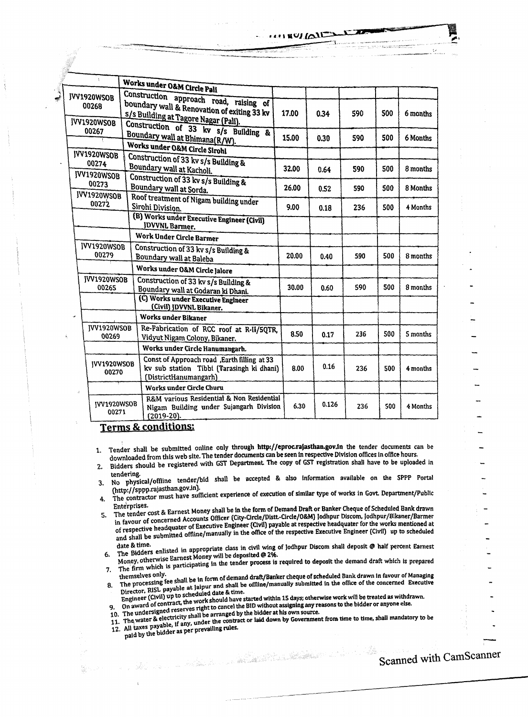|                      | ÷                    |  | Works under O&M Circle Pali                  |       |       |     |     |          |
|----------------------|----------------------|--|----------------------------------------------|-------|-------|-----|-----|----------|
| V1920WSOB            |                      |  |                                              |       |       |     |     |          |
|                      |                      |  | Construction approach road, raising of       |       |       |     |     |          |
| 00268                |                      |  | boundary wall & Renovation of exiting 33 kv  | 17.00 | 0.34  | 590 | 500 | 6 months |
| <b>VV1920WSOB</b>    |                      |  | s/s Building at Tagore Nagar (Pali).         |       |       |     |     |          |
|                      | 00267                |  | Construction of 33 kv s/s Building &         |       |       |     |     |          |
|                      |                      |  | Boundary wall at Bhimana(R/W).               | 15.00 | 0.30  | 590 | 500 | 6 Months |
|                      |                      |  | Works under O&M Circle Sirohi                |       |       |     |     |          |
| IVV1920WSOB<br>00274 |                      |  | Construction of 33 kv s/s Building &         |       |       |     |     |          |
|                      |                      |  | Boundary wall at Kacholi.                    | 32.00 | 0.64  | 590 | 500 | 8 months |
| IVV1920WSOB<br>00273 |                      |  | Construction of 33 kv s/s Building &         |       | 0.52  | 590 | 500 | 8 Months |
|                      |                      |  | Boundary wall at Sorda.                      | 26.00 |       |     |     |          |
|                      | JVV1920WSOB<br>00272 |  | Roof treatment of Nigam building under       |       |       |     |     |          |
|                      |                      |  | Sirohi Division.                             | 9.00  | 0.18  | 236 | 500 | 4 Months |
|                      |                      |  | (B) Works under Executive Engineer (Civil)   |       |       |     |     |          |
|                      |                      |  | <b>JDVVNL Barmer.</b>                        |       |       |     |     |          |
|                      |                      |  | Work Under Circle Barmer                     |       |       |     |     |          |
|                      | JVV1920WSOB          |  | Construction of 33 kv s/s Building &         |       |       |     |     |          |
|                      | 00279                |  | Boundary wall at Baleba                      | 20.00 | 0.40  | 590 | 500 | 8 months |
|                      |                      |  | Works under O&M Circle Jalore                |       |       |     |     |          |
|                      | <b>IVV1920WSOB</b>   |  | Construction of 33 kv s/s Building &         |       |       | 590 | 500 |          |
|                      | 00265                |  | Boundary wall at Godaran ki Dhani.           | 30.00 | 0.60  |     |     | 8 months |
|                      |                      |  | (C) Works under Executive Engineer           |       |       |     |     |          |
|                      |                      |  | (Civil) JDVVNL Bikaner.                      |       |       |     |     |          |
|                      |                      |  | Works under Bikaner                          |       |       |     |     |          |
| JVV1920WSOB          |                      |  | Re-Fabrication of RCC roof at R-II/5QTR,     | 8.50  | 0.17  | 236 | 500 | 5 months |
|                      | 00269                |  | Vidyut Nigam Colony, Bikaner.                |       |       |     |     |          |
|                      |                      |  | Works under Circle Hanumangarh.              |       |       |     |     |          |
|                      | <b>IVV1920WSOB</b>   |  | Const of Approach road , Earth filling at 33 |       |       |     |     |          |
|                      | 00270                |  | kv sub station Tibbi (Tarasingh ki dhani)    | 8.00  | 0.16  | 236 | 500 | 4 months |
|                      |                      |  | (DistrictHanumangarh)                        |       |       |     |     |          |
| à                    |                      |  | Works under Circle Churu                     |       |       |     |     |          |
|                      | <b>IVV1920WSOB</b>   |  | R&M various Residential & Non Residential    |       | 0.126 |     |     |          |
|                      | 00271                |  | Nigam Building under Sujangarh Division      | 6.30  |       | 236 | 500 | 4 Months |
| A.                   |                      |  | $(2019-20).$                                 |       |       |     |     |          |

**Terms & conditions:** 

J۱

- Tender shall be submitted online only through http://eproc.rajasthan.gov.in the tender documents can be  $1<sub>1</sub>$ downloaded from this web site. The tender documents can be seen in respective Division offices in office hours.
- Bidders should be registered with GST Department. The copy of GST registration shall have to be uploaded in  $\overline{2}$ . tendering.
- No physical/offline tender/bid shall be accepted & also information available on the SPPP Portal  $3.$ (http://sppp.rajasthan.gov.in).
- UILLP://sppp-consumingscomple.com/<br>The contractor must have sufficient experience of execution of similar type of works in Govt. Department/Public 4.
- Enterprises.<br>The tender cost & Earnest Money shall be in the form of Demand Draft or Banker Cheque of Scheduled Bank drawn I ne tenuer voor te zur noor een grooten City-Circle/Distt.-Circle/O&M) Jodhpur Discom, Jodhpur/Bikaner/Barmer 5. In favour of concerned according to Executive Engineer (Civil) payable at respective headquater for the works mentioned at of respective headquater of the works mentioned at of respective neuronment of all the office of the respective Executive Engineer (Civil) up to scheduled<br>and shall be submitted offline/manually in the office of the respective Executive Engineer (Civil) up to scheduled

nate of the callistic in appropriate class in civil wing of Jodhpur Discom shall deposit @ half percent Earnest<br>The Bidders enlisted in appropriate class in civil a new door Money, otherwise Earnest Money will be deposited @ 2%. 6.

Money, otherwise Latitude reserve that is the tender process is required to deposit the demand draft which is prepared The firm which is prepared 7.

- themselves only.<br>The processing fee shall be in form of demand draft/Banker cheque of scheduled Bank drawn in favour of Managing The processing ree shan by in the streamed way with the special same many and trawn in favour of Managing<br>Director, RISL payable at Jaipur and shall be offline/manually submitted in the office of the concerned Executive 8.
- Engineer (Civil) up to scheduled date & time. Engineer (Livil) up to scite the work should have started within 15 days; otherwise work will be treated as withdrawn.<br>On award of contract, the work should have started without accident as a constant with the treated as w 9. On award of contract, the work and the SID without assigning any reasons to the bidder or anyone else.<br>10. The undersigned reserves right to cancel the BID without assigning any reasons to the bidder or anyone else.
- 

10. The undersigned reserves right to cancer the bit without assigning any reasons to the bidder or anyone else.<br>11. The water & electricity shall be arranged by the bidder at his own source.<br>12. All taxes payable, if any, paid by the bidder as per prevailing rules.

Scanned with CamScanner